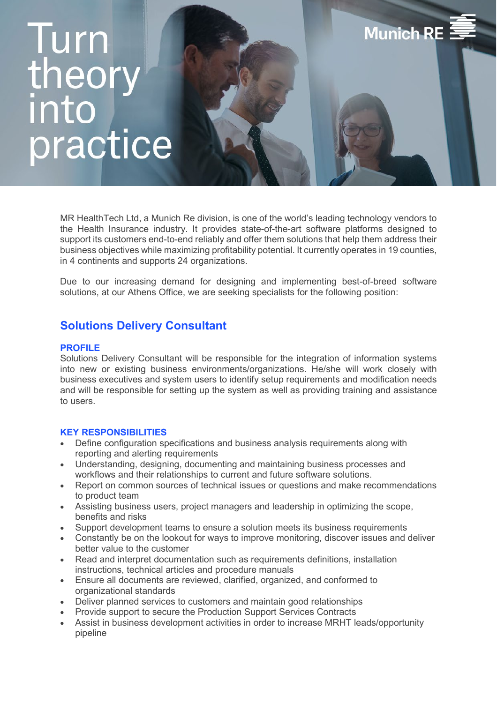# lurn theor<br>into practice

MR HealthTech Ltd, a Munich Re division, is one of the world's leading technology vendors to the Health Insurance industry. It provides state-of-the-art software platforms designed to support its customers end-to-end reliably and offer them solutions that help them address their business objectives while maximizing profitability potential. It currently operates in 19 counties, in 4 continents and supports 24 organizations.

**Munich RE** 

Due to our increasing demand for designing and implementing best-of-breed software solutions, at our Athens Office, we are seeking specialists for the following position:

## **Solutions Delivery Consultant**

### **PROFILE**

Solutions Delivery Consultant will be responsible for the integration of information systems into new or existing business environments/organizations. He/she will work closely with business executives and system users to identify setup requirements and modification needs and will be responsible for setting up the system as well as providing training and assistance to users.

#### **KEY RESPONSIBILITIES**

- Define configuration specifications and business analysis requirements along with reporting and alerting requirements
- Understanding, designing, documenting and maintaining business processes and workflows and their relationships to current and future software solutions.
- Report on common sources of technical issues or questions and make recommendations to product team
- Assisting business users, project managers and leadership in optimizing the scope, benefits and risks
- Support development teams to ensure a solution meets its business requirements
- Constantly be on the lookout for ways to improve monitoring, discover issues and deliver better value to the customer
- Read and interpret documentation such as requirements definitions, installation instructions, technical articles and procedure manuals
- Ensure all documents are reviewed, clarified, organized, and conformed to organizational standards
- Deliver planned services to customers and maintain good relationships
- Provide support to secure the Production Support Services Contracts
- Assist in business development activities in order to increase MRHT leads/opportunity pipeline